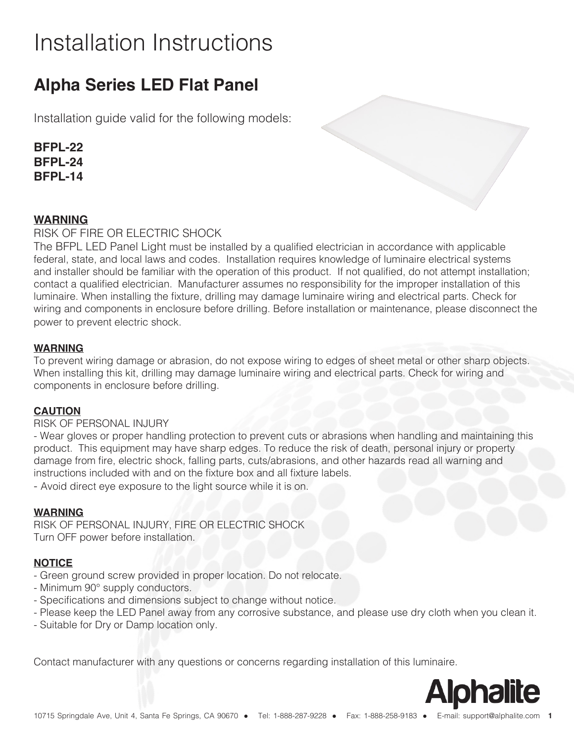# Installation Instructions

### **Alpha Series LED Flat Panel**

Installation guide valid for the following models:

**BFPL-22 BFPL-24 BFPL-14**

### **WARNING**

RISK OF FIRE OR ELECTRIC SHOCK

The BFPL LED Panel Light must be installed by a qualified electrician in accordance with applicable federal, state, and local laws and codes. Installation requires knowledge of luminaire electrical systems and installer should be familiar with the operation of this product. If not qualified, do not attempt installation; contact a qualified electrician. Manufacturer assumes no responsibility for the improper installation of this luminaire. When installing the fixture, drilling may damage luminaire wiring and electrical parts. Check for wiring and components in enclosure before drilling. Before installation or maintenance, please disconnect the power to prevent electric shock.

### **WARNING**

To prevent wiring damage or abrasion, do not expose wiring to edges of sheet metal or other sharp objects. When installing this kit, drilling may damage luminaire wiring and electrical parts. Check for wiring and components in enclosure before drilling.

### **CAUTION**

### RISK OF PERSONAL INJURY

- Wear gloves or proper handling protection to prevent cuts or abrasions when handling and maintaining this product. This equipment may have sharp edges. To reduce the risk of death, personal injury or property damage from fire, electric shock, falling parts, cuts/abrasions, and other hazards read all warning and instructions included with and on the fixture box and all fixture labels.

- Avoid direct eye exposure to the light source while it is on.

### **WARNING**

RISK OF PERSONAL INJURY, FIRE OR ELECTRIC SHOCK Turn OFF power before installation.

### **NOTICE**

- Green ground screw provided in proper location. Do not relocate.
- Minimum 90° supply conductors.
- Specifications and dimensions subject to change without notice.
- Please keep the LED Panel away from any corrosive substance, and please use dry cloth when you clean it.
- Suitable for Dry or Damp location only.

Contact manufacturer with any questions or concerns regarding installation of this luminaire.

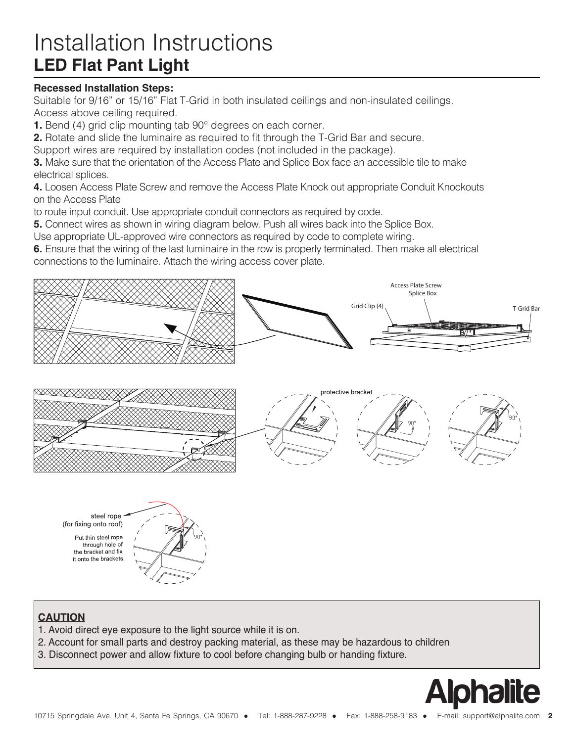## Installation Instructions **LED Flat Pant Light**

### **Recessed Installation Steps:**

Suitable for 9/16" or 15/16" Flat T-Grid in both insulated ceilings and non-insulated ceilings. Access above ceiling required.

**1.** Bend (4) grid clip mounting tab 90° degrees on each corner.

**2.** Rotate and slide the luminaire as required to fit through the T-Grid Bar and secure.

Support wires are required by installation codes (not included in the package).

**3.** Make sure that the orientation of the Access Plate and Splice Box face an accessible tile to make electrical splices.

**4.** Loosen Access Plate Screw and remove the Access Plate Knock out appropriate Conduit Knockouts on the Access Plate

to route input conduit. Use appropriate conduit connectors as required by code.

**5.** Connect wires as shown in wiring diagram below. Push all wires back into the Splice Box.

Use appropriate UL-approved wire connectors as required by code to complete wiring.

**6.** Ensure that the wiring of the last luminaire in the row is properly terminated. Then make all electrical connections to the luminaire. Attach the wiring access cover plate.



steel rope (for fixing onto roof)

Put thin steel rope through hole of the bracket and fix it onto the brackets



### **CAUTION**

- 1. Avoid direct eye exposure to the light source while it is on.
- 2. Account for small parts and destroy packing material, as these may be hazardous to children
- 3. Disconnect power and allow fixture to cool before changing bulb or handing fixture.

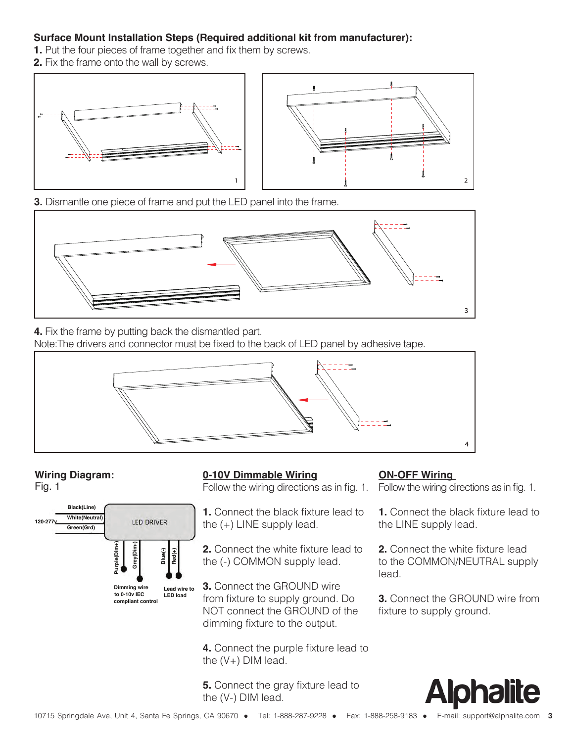### **Surface Mount Installation Steps (Required additional kit from manufacturer):**

- **1.** Put the four pieces of frame together and fix them by screws.
- **2.** Fix the frame onto the wall by screws.



**3.** Dismantle one piece of frame and put the LED panel into the frame.



**4.** Fix the frame by putting back the dismantled part.

Note:The drivers and connector must be fixed to the back of LED panel by adhesive tape.



Fig. 1



### **Wiring Diagram: ON-OFF Wiring 0-10V Dimmable Wiring**

Follow the wiring directions as in fig. 1. Follow the wiring directions as in fig. 1.

**1.** Connect the black fixture lead to the (+) LINE supply lead.

**2.** Connect the white fixture lead to the (-) COMMON supply lead.

**3.** Connect the GROUND wire from fixture to supply ground. Do NOT connect the GROUND of the dimming fixture to the output.

**4.** Connect the purple fixture lead to the (V+) DIM lead.

**5.** Connect the gray fixture lead to the (V-) DIM lead.

**1.** Connect the black fixture lead to the LINE supply lead.

**2.** Connect the white fixture lead to the COMMON/NEUTRAL supply lead.

**3.** Connect the GROUND wire from fixture to supply ground.